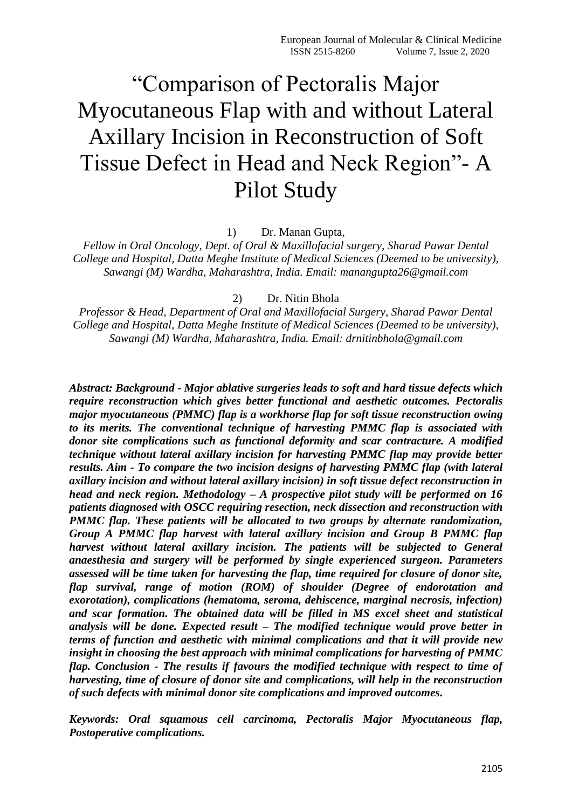# ―Comparison of Pectoralis Major Myocutaneous Flap with and without Lateral Axillary Incision in Reconstruction of Soft Tissue Defect in Head and Neck Region"- A Pilot Study

1) Dr. Manan Gupta,

*Fellow in Oral Oncology, Dept. of Oral & Maxillofacial surgery, Sharad Pawar Dental College and Hospital, Datta Meghe Institute of Medical Sciences (Deemed to be university), Sawangi (M) Wardha, Maharashtra, India. Email: manangupta26@gmail.com*

#### 2) Dr. Nitin Bhola

*Professor & Head, Department of Oral and Maxillofacial Surgery, Sharad Pawar Dental College and Hospital, Datta Meghe Institute of Medical Sciences (Deemed to be university), Sawangi (M) Wardha, Maharashtra, India. Email: drnitinbhola@gmail.com*

*Abstract: Background - Major ablative surgeries leads to soft and hard tissue defects which require reconstruction which gives better functional and aesthetic outcomes. Pectoralis major myocutaneous (PMMC) flap is a workhorse flap for soft tissue reconstruction owing to its merits. The conventional technique of harvesting PMMC flap is associated with donor site complications such as functional deformity and scar contracture. A modified technique without lateral axillary incision for harvesting PMMC flap may provide better results. Aim - To compare the two incision designs of harvesting PMMC flap (with lateral axillary incision and without lateral axillary incision) in soft tissue defect reconstruction in head and neck region. Methodology – A prospective pilot study will be performed on 16 patients diagnosed with OSCC requiring resection, neck dissection and reconstruction with PMMC flap. These patients will be allocated to two groups by alternate randomization, Group A PMMC flap harvest with lateral axillary incision and Group B PMMC flap harvest without lateral axillary incision. The patients will be subjected to General anaesthesia and surgery will be performed by single experienced surgeon. Parameters assessed will be time taken for harvesting the flap, time required for closure of donor site, flap survival, range of motion (ROM) of shoulder (Degree of endorotation and exorotation), complications (hematoma, seroma, dehiscence, marginal necrosis, infection) and scar formation. The obtained data will be filled in MS excel sheet and statistical analysis will be done. Expected result – The modified technique would prove better in terms of function and aesthetic with minimal complications and that it will provide new insight in choosing the best approach with minimal complications for harvesting of PMMC flap. Conclusion - The results if favours the modified technique with respect to time of harvesting, time of closure of donor site and complications, will help in the reconstruction of such defects with minimal donor site complications and improved outcomes.*

*Keywords: Oral squamous cell carcinoma, Pectoralis Major Myocutaneous flap, Postoperative complications.*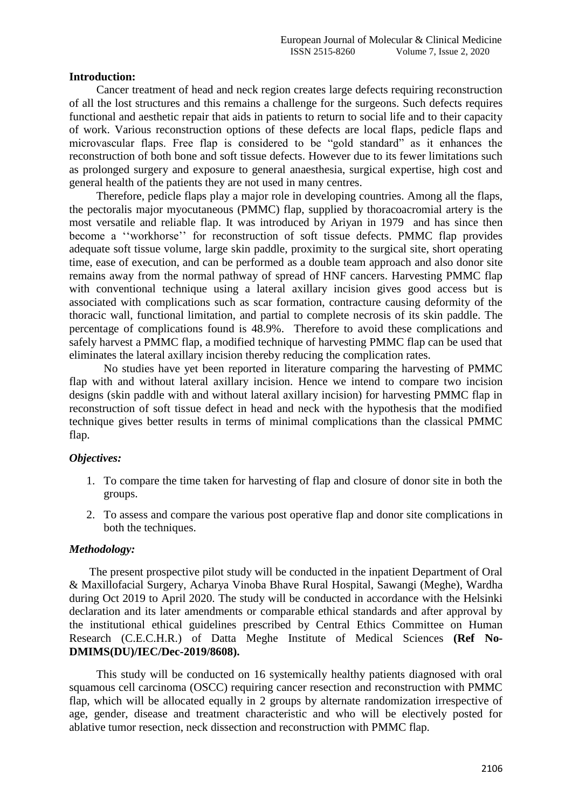#### **Introduction:**

Cancer treatment of head and neck region creates large defects requiring reconstruction of all the lost structures and this remains a challenge for the surgeons. Such defects requires functional and aesthetic repair that aids in patients to return to social life and to their capacity of work. Various reconstruction options of these defects are local flaps, pedicle flaps and microvascular flaps. Free flap is considered to be "gold standard" as it enhances the reconstruction of both bone and soft tissue defects. However due to its fewer limitations such as prolonged surgery and exposure to general anaesthesia, surgical expertise, high cost and general health of the patients they are not used in many centres.

Therefore, pedicle flaps play a major role in developing countries. Among all the flaps, the pectoralis major myocutaneous (PMMC) flap, supplied by thoracoacromial artery is the most versatile and reliable flap. It was introduced by Ariyan in 1979 and has since then become a "workhorse" for reconstruction of soft tissue defects. PMMC flap provides adequate soft tissue volume, large skin paddle, proximity to the surgical site, short operating time, ease of execution, and can be performed as a double team approach and also donor site remains away from the normal pathway of spread of HNF cancers. Harvesting PMMC flap with conventional technique using a lateral axillary incision gives good access but is associated with complications such as scar formation, contracture causing deformity of the thoracic wall, functional limitation, and partial to complete necrosis of its skin paddle. The percentage of complications found is 48.9%. Therefore to avoid these complications and safely harvest a PMMC flap, a modified technique of harvesting PMMC flap can be used that eliminates the lateral axillary incision thereby reducing the complication rates.

 No studies have yet been reported in literature comparing the harvesting of PMMC flap with and without lateral axillary incision. Hence we intend to compare two incision designs (skin paddle with and without lateral axillary incision) for harvesting PMMC flap in reconstruction of soft tissue defect in head and neck with the hypothesis that the modified technique gives better results in terms of minimal complications than the classical PMMC flap.

#### *Objectives:*

- 1. To compare the time taken for harvesting of flap and closure of donor site in both the groups.
- 2. To assess and compare the various post operative flap and donor site complications in both the techniques.

#### *Methodology:*

 The present prospective pilot study will be conducted in the inpatient Department of Oral & Maxillofacial Surgery, Acharya Vinoba Bhave Rural Hospital, Sawangi (Meghe), Wardha during Oct 2019 to April 2020. The study will be conducted in accordance with the Helsinki declaration and its later amendments or comparable ethical standards and after approval by the institutional ethical guidelines prescribed by Central Ethics Committee on Human Research (C.E.C.H.R.) of Datta Meghe Institute of Medical Sciences **(Ref No-DMIMS(DU)/IEC/Dec-2019/8608).** 

This study will be conducted on 16 systemically healthy patients diagnosed with oral squamous cell carcinoma (OSCC) requiring cancer resection and reconstruction with PMMC flap, which will be allocated equally in 2 groups by alternate randomization irrespective of age, gender, disease and treatment characteristic and who will be electively posted for ablative tumor resection, neck dissection and reconstruction with PMMC flap.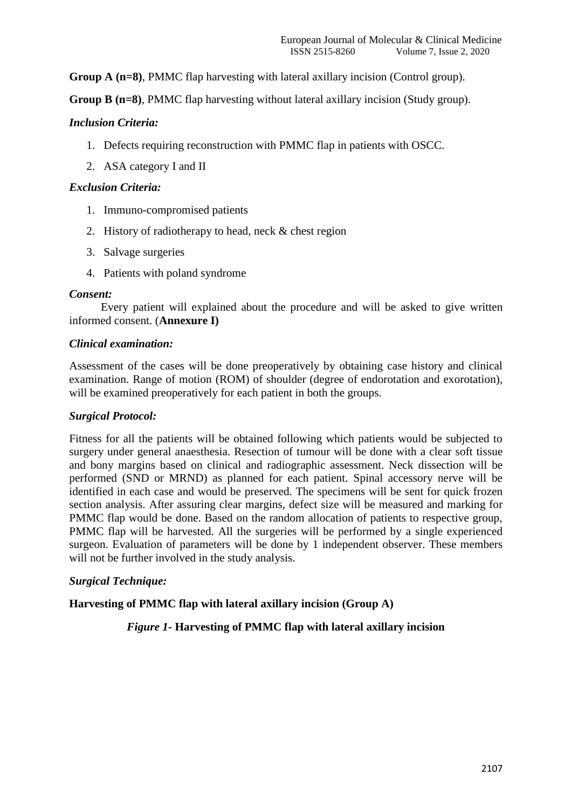**Group A (n=8)**, PMMC flap harvesting with lateral axillary incision (Control group).

**Group B (n=8)**, PMMC flap harvesting without lateral axillary incision (Study group).

## *Inclusion Criteria:*

- 1. Defects requiring reconstruction with PMMC flap in patients with OSCC.
- 2. ASA category I and II

## *Exclusion Criteria:*

- 1. Immuno-compromised patients
- 2. History of radiotherapy to head, neck & chest region
- 3. Salvage surgeries
- 4. Patients with poland syndrome

#### *Consent:*

 Every patient will explained about the procedure and will be asked to give written informed consent. (**Annexure I)**

#### *Clinical examination:*

Assessment of the cases will be done preoperatively by obtaining case history and clinical examination. Range of motion (ROM) of shoulder (degree of endorotation and exorotation), will be examined preoperatively for each patient in both the groups.

#### *Surgical Protocol:*

Fitness for all the patients will be obtained following which patients would be subjected to surgery under general anaesthesia. Resection of tumour will be done with a clear soft tissue and bony margins based on clinical and radiographic assessment. Neck dissection will be performed (SND or MRND) as planned for each patient. Spinal accessory nerve will be identified in each case and would be preserved. The specimens will be sent for quick frozen section analysis. After assuring clear margins, defect size will be measured and marking for PMMC flap would be done. Based on the random allocation of patients to respective group, PMMC flap will be harvested. All the surgeries will be performed by a single experienced surgeon. Evaluation of parameters will be done by 1 independent observer. These members will not be further involved in the study analysis.

#### *Surgical Technique:*

**Harvesting of PMMC flap with lateral axillary incision (Group A)**

*Figure 1-* **Harvesting of PMMC flap with lateral axillary incision**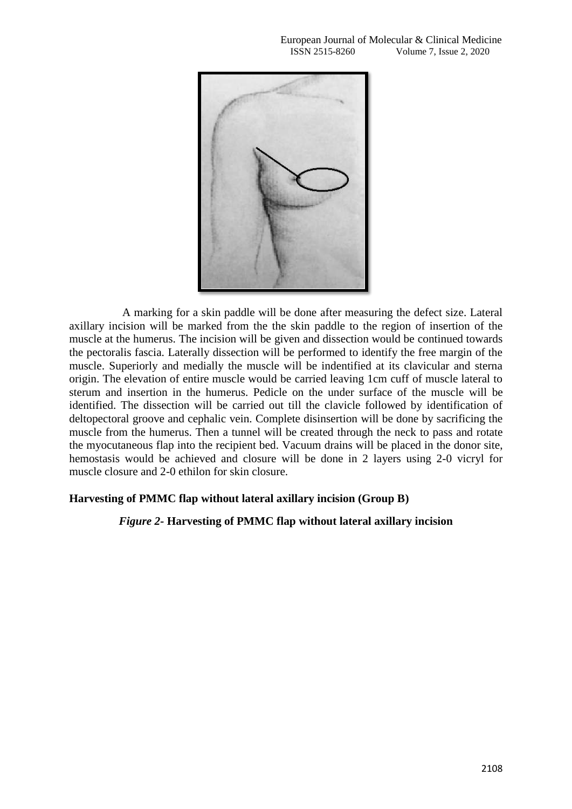

 A marking for a skin paddle will be done after measuring the defect size. Lateral axillary incision will be marked from the the skin paddle to the region of insertion of the muscle at the humerus. The incision will be given and dissection would be continued towards the pectoralis fascia. Laterally dissection will be performed to identify the free margin of the muscle. Superiorly and medially the muscle will be indentified at its clavicular and sterna origin. The elevation of entire muscle would be carried leaving 1cm cuff of muscle lateral to sterum and insertion in the humerus. Pedicle on the under surface of the muscle will be identified. The dissection will be carried out till the clavicle followed by identification of deltopectoral groove and cephalic vein. Complete disinsertion will be done by sacrificing the muscle from the humerus. Then a tunnel will be created through the neck to pass and rotate the myocutaneous flap into the recipient bed. Vacuum drains will be placed in the donor site, hemostasis would be achieved and closure will be done in 2 layers using 2-0 vicryl for muscle closure and 2-0 ethilon for skin closure.

#### **Harvesting of PMMC flap without lateral axillary incision (Group B)**

#### *Figure 2-* **Harvesting of PMMC flap without lateral axillary incision**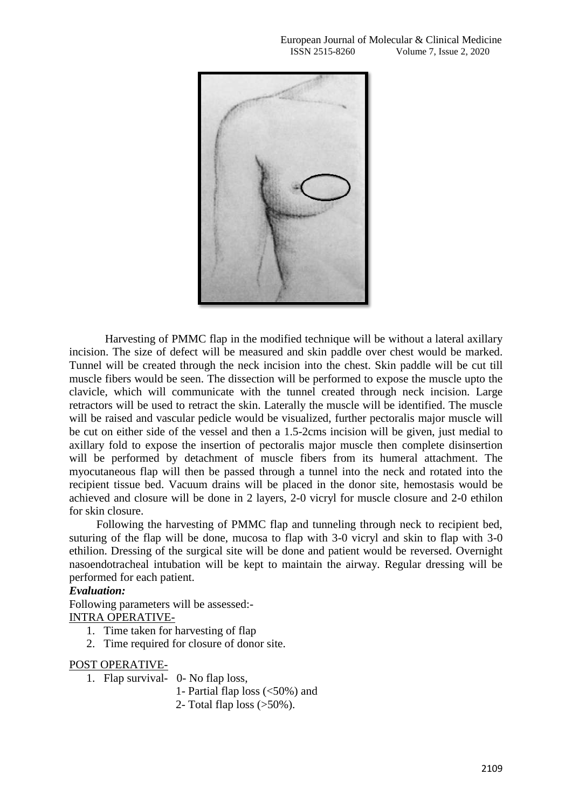

 Harvesting of PMMC flap in the modified technique will be without a lateral axillary incision. The size of defect will be measured and skin paddle over chest would be marked. Tunnel will be created through the neck incision into the chest. Skin paddle will be cut till muscle fibers would be seen. The dissection will be performed to expose the muscle upto the clavicle, which will communicate with the tunnel created through neck incision. Large retractors will be used to retract the skin. Laterally the muscle will be identified. The muscle will be raised and vascular pedicle would be visualized, further pectoralis major muscle will be cut on either side of the vessel and then a 1.5-2cms incision will be given, just medial to axillary fold to expose the insertion of pectoralis major muscle then complete disinsertion will be performed by detachment of muscle fibers from its humeral attachment. The myocutaneous flap will then be passed through a tunnel into the neck and rotated into the recipient tissue bed. Vacuum drains will be placed in the donor site, hemostasis would be achieved and closure will be done in 2 layers, 2-0 vicryl for muscle closure and 2-0 ethilon for skin closure.

Following the harvesting of PMMC flap and tunneling through neck to recipient bed, suturing of the flap will be done, mucosa to flap with 3-0 vicryl and skin to flap with 3-0 ethilion. Dressing of the surgical site will be done and patient would be reversed. Overnight nasoendotracheal intubation will be kept to maintain the airway. Regular dressing will be performed for each patient.

#### *Evaluation:*

Following parameters will be assessed:- INTRA OPERATIVE-

- 1. Time taken for harvesting of flap
- 2. Time required for closure of donor site.

#### POST OPERATIVE-

- 1. Flap survival- 0- No flap loss,
	- 1- Partial flap loss (<50%) and
	- 2- Total flap loss (>50%).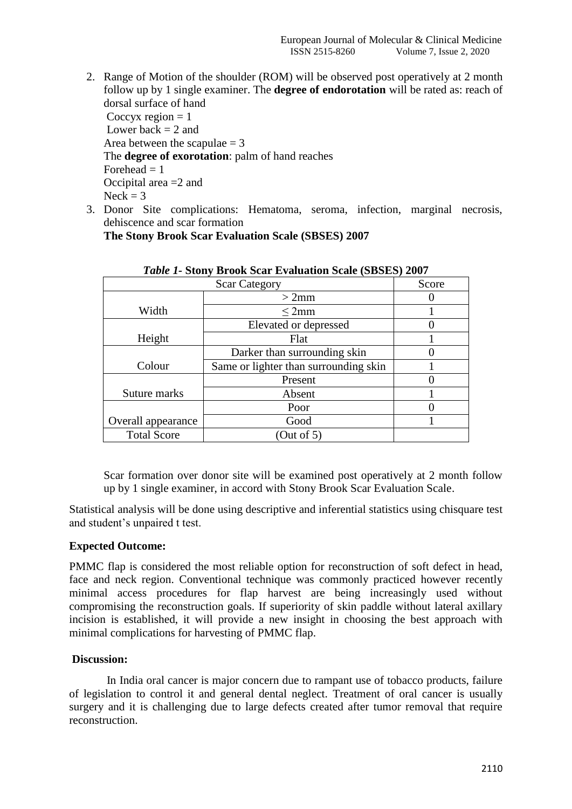- 2. Range of Motion of the shoulder (ROM) will be observed post operatively at 2 month follow up by 1 single examiner. The **degree of endorotation** will be rated as: reach of dorsal surface of hand Coccyx region  $= 1$ Lower back  $= 2$  and Area between the scapulae  $= 3$ The **degree of exorotation**: palm of hand reaches Forehead  $= 1$ Occipital area =2 and  $Neck = 3$
- 3. Donor Site complications: Hematoma, seroma, infection, marginal necrosis, dehiscence and scar formation

**The Stony Brook Scar Evaluation Scale (SBSES) 2007**

| <b>Scar Category</b> |                                       | Score |
|----------------------|---------------------------------------|-------|
|                      | $>2$ mm                               |       |
| Width                | $\leq$ 2mm                            |       |
|                      | Elevated or depressed                 |       |
| Height               | Flat                                  |       |
|                      | Darker than surrounding skin          |       |
| Colour               | Same or lighter than surrounding skin |       |
|                      | Present                               |       |
| Suture marks         | Absent                                |       |
|                      | Poor                                  |       |
| Overall appearance   | Good                                  |       |
| <b>Total Score</b>   | (Out of 5)                            |       |

## *Table 1-* **Stony Brook Scar Evaluation Scale (SBSES) 2007**

Scar formation over donor site will be examined post operatively at 2 month follow up by 1 single examiner, in accord with Stony Brook Scar Evaluation Scale.

Statistical analysis will be done using descriptive and inferential statistics using chisquare test and student's unpaired t test.

# **Expected Outcome:**

PMMC flap is considered the most reliable option for reconstruction of soft defect in head, face and neck region. Conventional technique was commonly practiced however recently minimal access procedures for flap harvest are being increasingly used without compromising the reconstruction goals. If superiority of skin paddle without lateral axillary incision is established, it will provide a new insight in choosing the best approach with minimal complications for harvesting of PMMC flap.

#### **Discussion:**

 In India oral cancer is major concern due to rampant use of tobacco products, failure of legislation to control it and general dental neglect. Treatment of oral cancer is usually surgery and it is challenging due to large defects created after tumor removal that require reconstruction.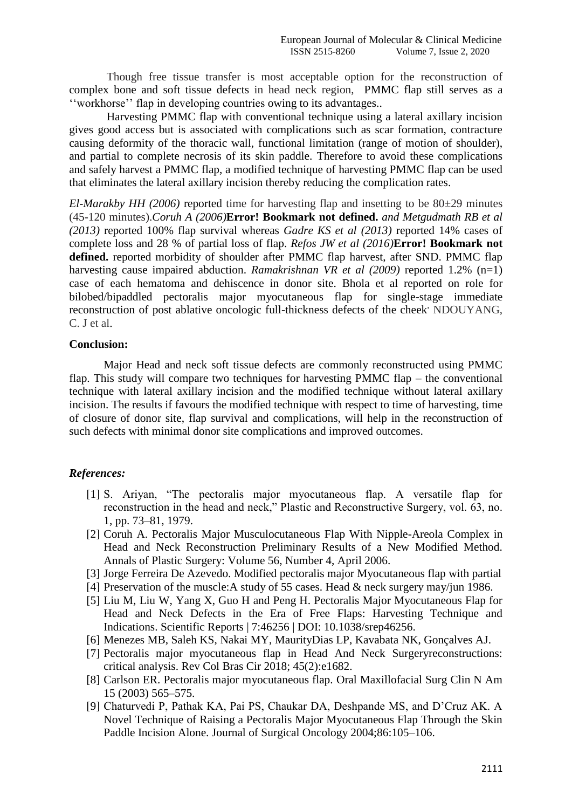Though free tissue transfer is most acceptable option for the reconstruction of complex bone and soft tissue defects in head neck region, PMMC flap still serves as a ‗‗workhorse'' flap in developing countries owing to its advantages..

 Harvesting PMMC flap with conventional technique using a lateral axillary incision gives good access but is associated with complications such as scar formation, contracture causing deformity of the thoracic wall, functional limitation (range of motion of shoulder), and partial to complete necrosis of its skin paddle. Therefore to avoid these complications and safely harvest a PMMC flap, a modified technique of harvesting PMMC flap can be used that eliminates the lateral axillary incision thereby reducing the complication rates.

*El-Marakby HH (2006)* reported time for harvesting flap and insetting to be 80±29 minutes (45-120 minutes).*Coruh A (2006)***Error! Bookmark not defined.** *and Metgudmath RB et al (2013)* reported 100% flap survival whereas *Gadre KS et al (2013)* reported 14% cases of complete loss and 28 % of partial loss of flap. *Refos JW et al (2016)***Error! Bookmark not**  defined. reported morbidity of shoulder after PMMC flap harvest, after SND. PMMC flap harvesting cause impaired abduction. *Ramakrishnan VR et al (2009)* reported 1.2% (n=1) case of each hematoma and dehiscence in donor site. Bhola et al reported on role for bilobed/bipaddled pectoralis major myocutaneous flap for single-stage immediate reconstruction of post ablative oncologic full-thickness defects of the cheek NDOUYANG, C. J et al.

#### **Conclusion:**

Major Head and neck soft tissue defects are commonly reconstructed using PMMC flap. This study will compare two techniques for harvesting PMMC flap – the conventional technique with lateral axillary incision and the modified technique without lateral axillary incision. The results if favours the modified technique with respect to time of harvesting, time of closure of donor site, flap survival and complications, will help in the reconstruction of such defects with minimal donor site complications and improved outcomes.

# *References:*

- [1] S. Ariyan, "The pectoralis major myocutaneous flap. A versatile flap for reconstruction in the head and neck," Plastic and Reconstructive Surgery, vol. 63, no. 1, pp. 73–81, 1979.
- [2] Coruh A. Pectoralis Major Musculocutaneous Flap With Nipple-Areola Complex in Head and Neck Reconstruction Preliminary Results of a New Modified Method. Annals of Plastic Surgery: Volume 56, Number 4, April 2006.
- [3] Jorge Ferreira De Azevedo. Modified pectoralis major Myocutaneous flap with partial
- [4] Preservation of the muscle: A study of 55 cases. Head & neck surgery may/jun 1986.
- [5] Liu M, Liu W, Yang X, Guo H and Peng H. Pectoralis Major Myocutaneous Flap for Head and Neck Defects in the Era of Free Flaps: Harvesting Technique and Indications. Scientific Reports | 7:46256 | DOI: 10.1038/srep46256.
- [6] Menezes MB, Saleh KS, Nakai MY, MaurityDias LP, Kavabata NK, Gonçalves AJ.
- [7] Pectoralis major myocutaneous flap in Head And Neck Surgeryreconstructions: critical analysis. Rev Col Bras Cir 2018; 45(2):e1682.
- [8] Carlson ER. Pectoralis major myocutaneous flap. Oral Maxillofacial Surg Clin N Am 15 (2003) 565–575.
- [9] Chaturvedi P, Pathak KA, Pai PS, Chaukar DA, Deshpande MS, and D'Cruz AK. A Novel Technique of Raising a Pectoralis Major Myocutaneous Flap Through the Skin Paddle Incision Alone. Journal of Surgical Oncology 2004;86:105–106.